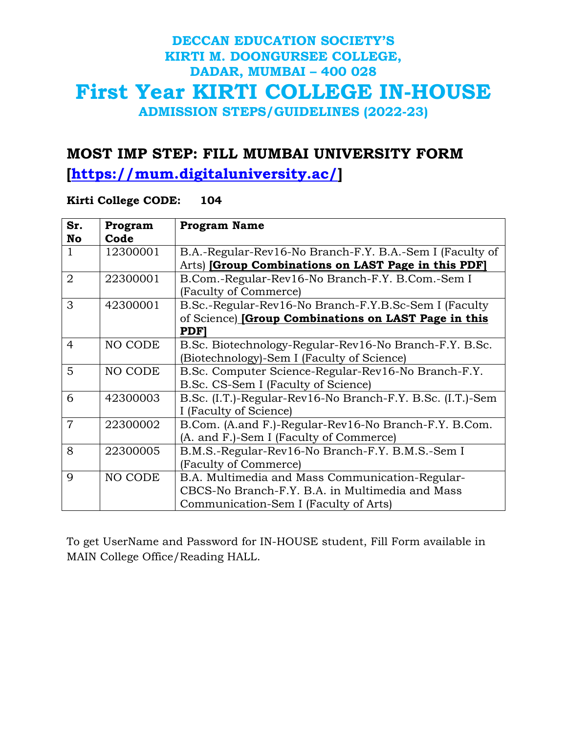#### **MOST IMP STEP: FILL MUMBAI UNIVERSITY FORM**

**[\[https://mum.digitaluniversity.ac/\]](https://mum.digitaluniversity.ac/)**

#### **Kirti College CODE: 104**

| Sr.<br>No      | Program<br>Code | <b>Program Name</b>                                                                                                                         |
|----------------|-----------------|---------------------------------------------------------------------------------------------------------------------------------------------|
| 1              | 12300001        | B.A.-Regular-Rev16-No Branch-F.Y. B.A.-Sem I (Faculty of<br>Arts) [Group Combinations on LAST Page in this PDF]                             |
| $\overline{2}$ | 22300001        | B.Com.-Regular-Rev16-No Branch-F.Y. B.Com.-Sem I<br>(Faculty of Commerce)                                                                   |
| 3              | 42300001        | B.Sc.-Regular-Rev16-No Branch-F.Y.B.Sc-Sem I (Faculty<br>of Science) [Group Combinations on LAST Page in this<br><b>PDF</b>                 |
| $\overline{4}$ | NO CODE         | B.Sc. Biotechnology-Regular-Rev16-No Branch-F.Y. B.Sc.<br>(Biotechnology)-Sem I (Faculty of Science)                                        |
| 5              | NO CODE         | B.Sc. Computer Science-Regular-Rev16-No Branch-F.Y.<br>B.Sc. CS-Sem I (Faculty of Science)                                                  |
| 6              | 42300003        | B.Sc. (I.T.)-Regular-Rev16-No Branch-F.Y. B.Sc. (I.T.)-Sem<br>I (Faculty of Science)                                                        |
| $\overline{7}$ | 22300002        | B.Com. (A.and F.)-Regular-Rev16-No Branch-F.Y. B.Com.<br>(A. and F.)-Sem I (Faculty of Commerce)                                            |
| 8              | 22300005        | B.M.S.-Regular-Rev16-No Branch-F.Y. B.M.S.-Sem I<br>(Faculty of Commerce)                                                                   |
| $\overline{Q}$ | NO CODE         | B.A. Multimedia and Mass Communication-Regular-<br>CBCS-No Branch-F.Y. B.A. in Multimedia and Mass<br>Communication-Sem I (Faculty of Arts) |

To get UserName and Password for IN-HOUSE student, Fill Form available in MAIN College Office/Reading HALL.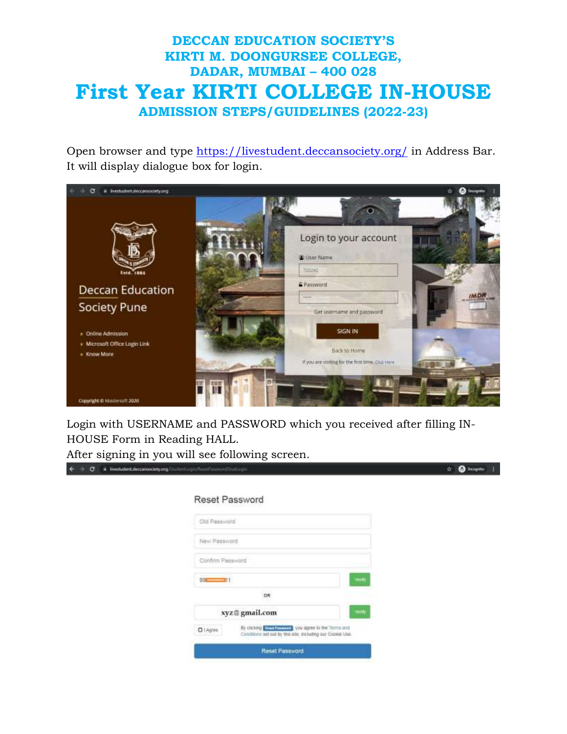Open browser and type<https://livestudent.deccansociety.org/> in Address Bar. It will display dialogue box for login.



Login with USERNAME and PASSWORD which you received after filling IN-HOUSE Form in Reading HALL.

After signing in you will see following screen.

| Reset Password                                                                                                                             |  |
|--------------------------------------------------------------------------------------------------------------------------------------------|--|
| Old Password                                                                                                                               |  |
| New Password                                                                                                                               |  |
| Confirm Password                                                                                                                           |  |
| $99 - 11$<br>Vinty                                                                                                                         |  |
| OR                                                                                                                                         |  |
| very<br>xyz@gmail.com                                                                                                                      |  |
| By clicking <b>Executiveness</b> , you agree to the Terms and<br>$Q$ 1 Agree<br>Conditions set out by this site, including our Cookie Use. |  |
| Reset Password                                                                                                                             |  |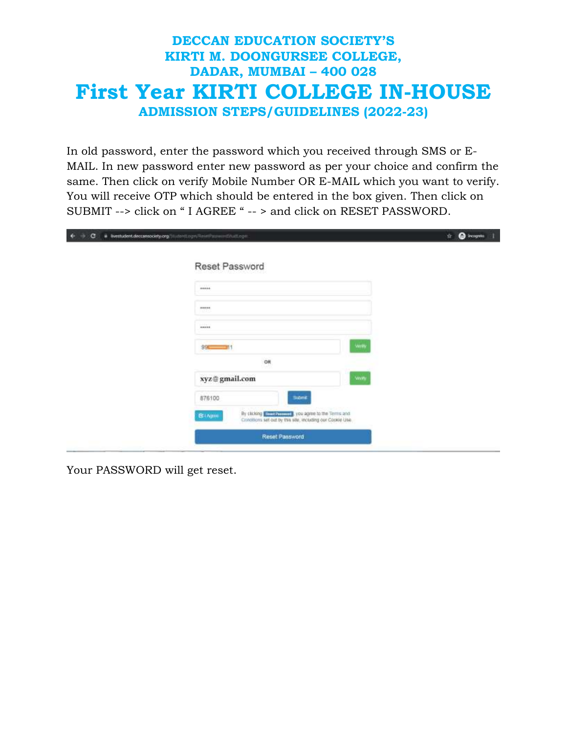In old password, enter the password which you received through SMS or E-MAIL. In new password enter new password as per your choice and confirm the same. Then click on verify Mobile Number OR E-MAIL which you want to verify. You will receive OTP which should be entered in the box given. Then click on SUBMIT --> click on " I AGREE " -- > and click on RESET PASSWORD.

| $\sigma$<br>÷ | # livestudent.deccansociety.org/50.udotd.com/Reservations/coll.com                                                                              | <sup>O</sup> income<br>宜。<br>÷ |
|---------------|-------------------------------------------------------------------------------------------------------------------------------------------------|--------------------------------|
|               | Reset Password                                                                                                                                  |                                |
|               | +++++                                                                                                                                           |                                |
|               | +++++                                                                                                                                           |                                |
|               | 49,699                                                                                                                                          |                                |
|               | <b><i>SMIN</i></b><br>$995 =$<br>d۱                                                                                                             |                                |
|               | OR<br><b>Volta</b>                                                                                                                              |                                |
|               | xyz@gmail.com<br>876100<br><b>SADINE</b>                                                                                                        |                                |
|               | By clicking <b>Elect Denoval 3</b> , you agree to the Terms and<br><b>BIApie</b><br>Crinofficms set out by this site, including our Cookie Use. |                                |
|               | Reset Password                                                                                                                                  |                                |

Your PASSWORD will get reset.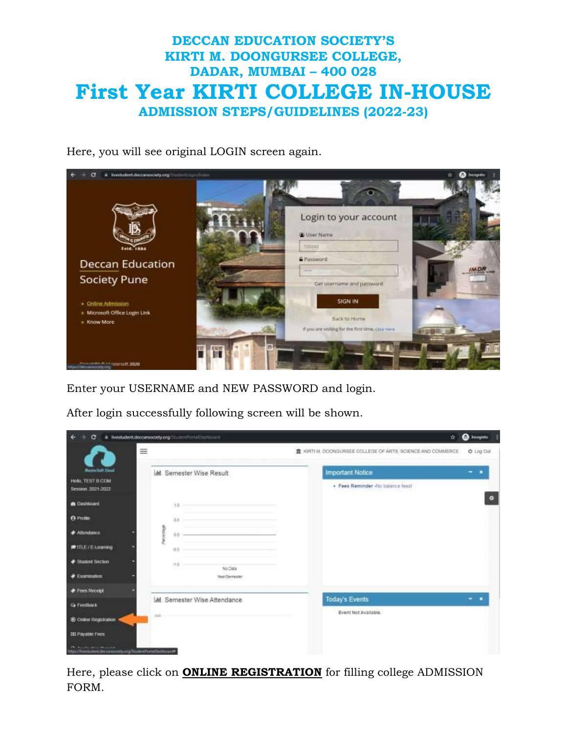Here, you will see original LOGIN screen again.



Enter your USERNAME and NEW PASSWORD and login.

After login successfully following screen will be shown.

| G                                                   | # Tivestudent.deccarsociety.org/inudentPortalDesbboard | <sup>2</sup> becomes<br>壺                                                   |
|-----------------------------------------------------|--------------------------------------------------------|-----------------------------------------------------------------------------|
| ≡                                                   |                                                        | @ Log Out<br>B. KIRTI M. DIOONGURSEE OOLLEGE OF ARTS. SCIENCE AND COMMERCE. |
| <b>MesterSett Claud</b>                             | <b>I.M.</b> Semester Wise Result                       | <b>Important Notice</b><br>▪                                                |
| <b>Hills TEST B COM</b><br>Session: 2021-2022       |                                                        | · Feet Reminder -No balance feet!                                           |
| <b>B</b> Dashboard                                  | 1.0                                                    | ۰                                                                           |
| <b>O</b> Profile                                    | 22                                                     |                                                                             |
| <b><i>CAttendance</i></b>                           | Percentage<br><b>三百</b>                                |                                                                             |
| <b>#ITLE/E-Learning</b>                             | 45                                                     |                                                                             |
| <b>Student Section</b>                              | $-1.0$<br>No Data                                      |                                                                             |
| $E$ samination                                      | <b>VisioSecretter</b>                                  |                                                                             |
| <b><i>Frees Receipt</i></b>                         |                                                        |                                                                             |
| <b>G</b> Feedback                                   | LM Semester Wise Attendance                            | Today's Events<br>н                                                         |
| <b>30 Crole Registration</b>                        | (1.0)                                                  | Event Not Available.                                                        |
| <b>DI</b> Payable Fees                              |                                                        |                                                                             |
| Mac/Needaders.decamatery.org/StudentPortatOutmount# |                                                        |                                                                             |

Here, please click on **ONLINE REGISTRATION** for filling college ADMISSION FORM.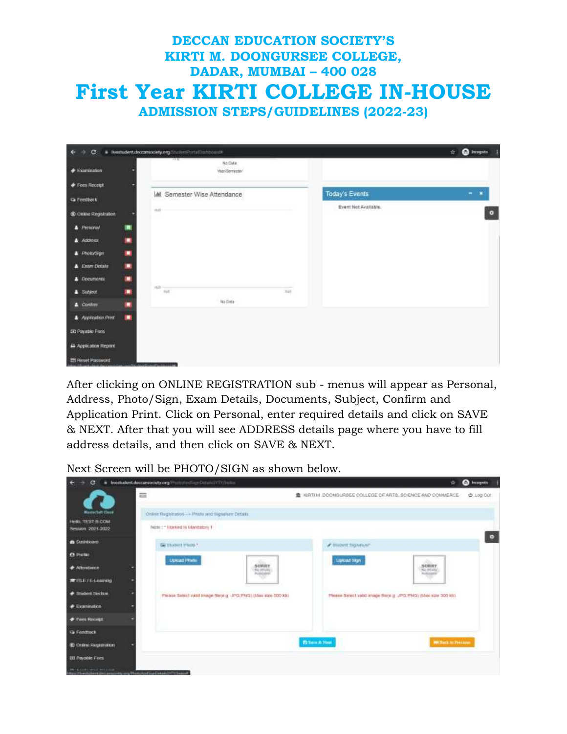| $\sim$<br>$\leftarrow$                        |   | C: + tivestudent.deccanociety.org//incler/Portal/Jesticoest# |      |                      | <b>Ca</b> Incognito<br>女 |
|-----------------------------------------------|---|--------------------------------------------------------------|------|----------------------|--------------------------|
| $\triangleq$ Examination                      |   | -14<br>No Dida<br>Year/Serventer<br>1.12                     |      |                      |                          |
| Fees Receipt                                  | ۰ |                                                              |      |                      |                          |
| <b>Ca Feestback</b>                           |   | LM Semester Wise Attendance                                  |      | Today's Events       | $-1$                     |
| C Chine Registrates                           |   | TEST                                                         |      | Event Not Available. | $\bullet$                |
| <b>A</b> Personal                             | о |                                                              |      |                      |                          |
| Address                                       | п |                                                              |      |                      |                          |
| A Photo/Sign                                  | ۰ |                                                              |      |                      |                          |
| <b>A</b> Exam Details                         | ۰ |                                                              |      |                      |                          |
| A Documents                                   | ۰ |                                                              |      |                      |                          |
| <b>4</b> Subject                              | ш | (1,2)<br><b>Jul</b>                                          | hall |                      |                          |
| $\triangle$ Continue                          | ۰ | No Data                                                      |      |                      |                          |
| Application Pint                              | п |                                                              |      |                      |                          |
| <b>CD Payable Fees</b>                        |   |                                                              |      |                      |                          |
| <b>Useran AVIII</b> N<br>A Application Report |   |                                                              |      |                      |                          |
| <b>EE</b> Reset Password                      |   | <b>Charles Charles All Three</b>                             |      |                      |                          |

After clicking on ONLINE REGISTRATION sub - menus will appear as Personal, Address, Photo/Sign, Exam Details, Documents, Subject, Confirm and Application Print. Click on Personal, enter required details and click on SAVE & NEXT. After that you will see ADDRESS details page where you have to fill address details, and then click on SAVE & NEXT.

Next Screen will be PHOTO/SIGN as shown below.

| с                                                                                                                | Ivestudent.decommody.org/Photological/Condentationales                                                              |                                                              | O Imagedia<br>÷            |
|------------------------------------------------------------------------------------------------------------------|---------------------------------------------------------------------------------------------------------------------|--------------------------------------------------------------|----------------------------|
| Microritett Close                                                                                                | ≡                                                                                                                   | 量 NRTI M: DOONGURSEE COLLEGE OF ARTS; SCIENCE AND COMMERCE   | @ 100 Out                  |
| Hinks, TEST B COM                                                                                                | Onine Registration - + Photo and Rignature Octain                                                                   |                                                              |                            |
| Session 2021-2022                                                                                                | <b>I AND A STREET AND A STREET AND A</b><br>Note: : * Marked is Mandaton 1<br>10. STA 10. MARCH 2014, INVESTIGATION |                                                              |                            |
| a Deshboard                                                                                                      | Ge thaten map *                                                                                                     | <b>/</b> Student Signifiant                                  | $\bullet$                  |
| <b>C</b> Pulle                                                                                                   | <b>Upload Phile</b>                                                                                                 | <b>Liproint Skpn</b>                                         |                            |
| <b># Allendance</b>                                                                                              | SORRY<br><b>RIC BRAND</b>                                                                                           | SORRY<br>NASHER                                              |                            |
| #TILE/E-Learning                                                                                                 |                                                                                                                     |                                                              |                            |
| Situatent Section<br><b>AND AND REAL</b>                                                                         | Please Select vand Image Be(a.g. UPG,PNG) (Max size 500 kB)                                                         | Please Select valst maps there g. "PG.PNG) (Max sure 300 km) |                            |
| <b>Examination</b>                                                                                               |                                                                                                                     |                                                              |                            |
| <b>+ Fees Recept</b>                                                                                             |                                                                                                                     |                                                              |                            |
| <b>G</b> Feedback                                                                                                |                                                                                                                     |                                                              |                            |
| @ Chilme Regnanation                                                                                             |                                                                                                                     | <b>Ballion A. New</b>                                        | <b>MATISCH IN Pressure</b> |
| <b>ISI Payable Fees</b>                                                                                          |                                                                                                                     |                                                              |                            |
| <b>By a considerable processing</b><br>Neurolis (Theodores and Contact Property and the company reserved to make |                                                                                                                     |                                                              |                            |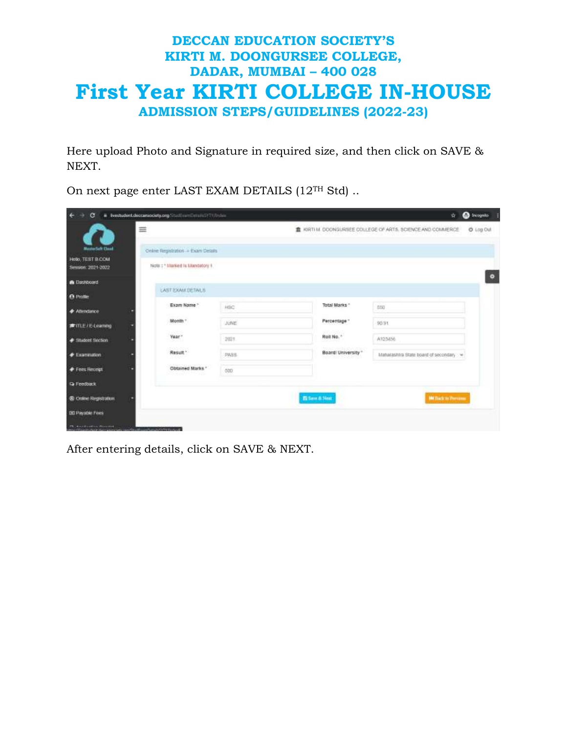Here upload Photo and Signature in required size, and then click on SAVE & NEXT.

On next page enter LAST EXAM DETAILS (12TH Std) ..

| $\leftarrow$<br>G                      | N Evestudent.decom/ociety.org/StudfministeristyTY/thdee. |            |                        | 聋                                                             | <b>O</b> Incopita |  |
|----------------------------------------|----------------------------------------------------------|------------|------------------------|---------------------------------------------------------------|-------------------|--|
|                                        | 亖                                                        |            |                        | B. KIRTI M. DOONGURSEE DOLLEGE OF ARTS. SCIENCE AND COMMERCE. | @ Log Out         |  |
| <b>MusicalSefr Closed</b>              | Online Registration -+ Exam Details                      |            |                        |                                                               |                   |  |
| Helo, TEST B.COM<br>Session: 2021-2022 | Note: : * Interiord is Mandatory 9.                      |            |                        |                                                               |                   |  |
| <b>R</b> Dashboard                     |                                                          |            |                        |                                                               |                   |  |
| <b>A</b> Profile                       | LAST EXAM DETAILS                                        |            |                        |                                                               |                   |  |
| <b>+ Attendance</b>                    | Exam Name *                                              | <b>HBC</b> | Total Marks            | 650                                                           |                   |  |
| <b>建</b> 排出法-teaming                   | Month "                                                  | UUNE       | Percentage 1           | 90.91                                                         |                   |  |
| # Student Section                      | 2200<br>Year."<br>74.75%                                 | 2021       | 1090 S.M<br>Roll No. * | A123456                                                       |                   |  |
| <b># Examination</b>                   | 2010/01/12<br>Result."                                   | PASS       | Board University*      | Maturashtra State board of secondary                          |                   |  |
| <b>Fees Recept</b>                     | Obtained Marks."                                         | 600        |                        |                                                               |                   |  |
| <b>Q</b> Feedback                      |                                                          |            |                        |                                                               |                   |  |
| @ Online Registration                  |                                                          |            | El fame & New          | <b>Million Ferrane</b>                                        |                   |  |
| <b>DD Payable Fees</b>                 |                                                          |            |                        |                                                               |                   |  |
| Philadelphia (Power)                   |                                                          |            |                        |                                                               |                   |  |

After entering details, click on SAVE & NEXT.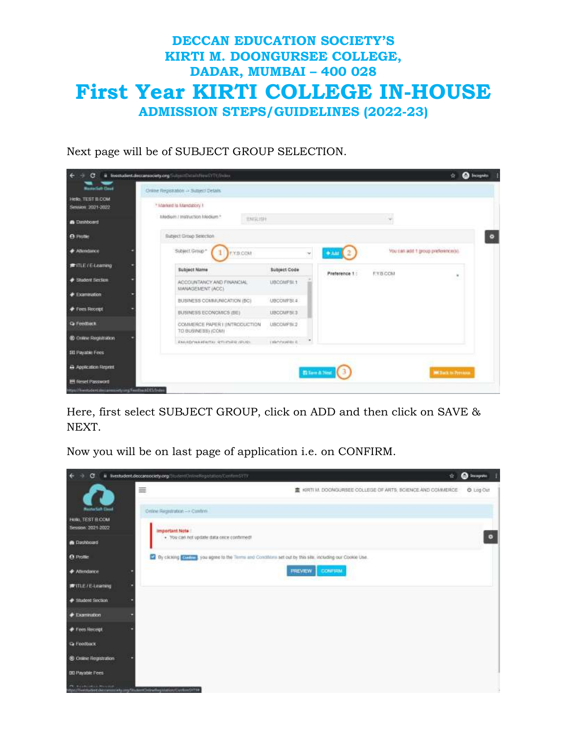

Next page will be of SUBJECT GROUP SELECTION.

| <b>Numerial Class</b>                                                            | Online Registration -> Subject Details              |                     |                      |                  |                                    |
|----------------------------------------------------------------------------------|-----------------------------------------------------|---------------------|----------------------|------------------|------------------------------------|
| <b>Hello TEST B COM</b><br>Sesson 2021-2022                                      | * Adamond is Mandatory 1                            |                     |                      |                  |                                    |
| <b>B</b> Dashboard                                                               | excuse<br>Madium / Instruction Medium *             |                     |                      |                  |                                    |
| <b>A</b> Profile                                                                 | <b>Bubject Group Selection</b>                      |                     |                      |                  |                                    |
| <b># Atlendance</b>                                                              | Subject Group*<br>1 FYSCOM                          | ×                   | $+341$ $2$           |                  | You can add 1 group preference(s). |
| 素讯E(Elaaming)                                                                    | <b>Subject Name</b>                                 | <b>Subject Code</b> | Preference 1:        | <b>F.Y.B.COM</b> |                                    |
| <b>Student Section</b>                                                           | ACCOUNTANCY AND FINANCIAL<br>MANAGEMENT (ACC)       | LIBCOMFSL1          |                      |                  | $\blacksquare$                     |
| <b>Communication</b>                                                             | BUSINESS COMMUNICATION (BC)                         | UBCOMPSE #          |                      |                  |                                    |
| <b><i>Fres Recent</i></b>                                                        | BUSINESS ECONOMICS (BE)                             | <b>UBOOMFSES</b>    |                      |                  |                                    |
| <b>Q</b> Feedback                                                                | COMMERCE PAPER I INTRODUCTION<br>TO BUSINESS) (COM) | UBCOMFSE2           |                      |                  |                                    |
|                                                                                  | EMADOWA KENTAK STUDIES (EUS)                        | LIBANUSERLE         |                      |                  |                                    |
|                                                                                  |                                                     |                     |                      |                  |                                    |
|                                                                                  |                                                     |                     |                      |                  |                                    |
| 00 Online Registration<br><b>SII Payable Fees</b><br><b>B</b> Application Report |                                                     |                     | <b>Blockhard</b> (3) |                  | <b>MASSACK ON PIPERINGS</b>        |

Here, first select SUBJECT GROUP, click on ADD and then click on SAVE & NEXT.

Now you will be on last page of application i.e. on CONFIRM.

| $\epsilon$                                                |   | @ @westudent.deccareociety.org/StudentChristellegistation/Continuity TV<br>ŵ.                                | <sup>6</sup> Incogratu |  |
|-----------------------------------------------------------|---|--------------------------------------------------------------------------------------------------------------|------------------------|--|
| <b>MasterSale Count</b>                                   | ≡ | KIRTI M. DOONGURSEE COLLEGE OF ARTS, BOIENCE AND COMMERCE                                                    | C Log Cut              |  |
| Hello, TEST E COM<br>Session: 2021-2022                   |   | Online Regratation - > Confine<br><b>Important Note</b>                                                      |                        |  |
| <b>R</b> Dashboard                                        |   | . You can not update data once continued!                                                                    |                        |  |
| <b>O</b> Profile                                          |   | 2 By clicking Contact, you agree to the Terms and Conditions art cut by this site, including our Cookie Use. |                        |  |
| <b>+ Atlendance</b>                                       |   | <b>CONFIRM</b><br><b>PREVIEW</b>                                                                             |                        |  |
| <b>#ITLE/E-Learning</b>                                   |   |                                                                                                              |                        |  |
| * Student Section                                         |   |                                                                                                              |                        |  |
| <b>Examination</b>                                        |   |                                                                                                              |                        |  |
| Frees Recept                                              |   |                                                                                                              |                        |  |
| <b>Ta Feedback</b>                                        |   |                                                                                                              |                        |  |
| <b>3</b> Online Registration                              |   |                                                                                                              |                        |  |
| <b>DD Payable Fees</b><br><b>CEL MUSICALISTS PROVIDER</b> |   |                                                                                                              |                        |  |
|                                                           |   | westwitercow currencely any Student Detroiting Internation Currency TVM                                      |                        |  |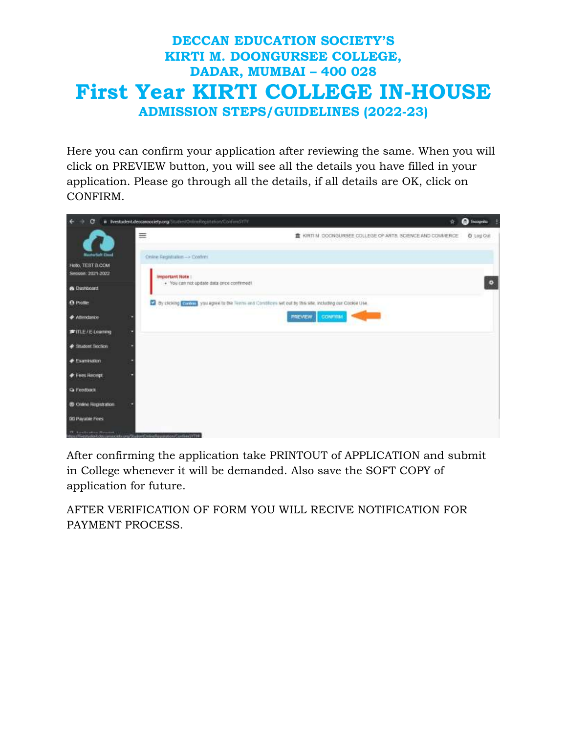Here you can confirm your application after reviewing the same. When you will click on PREVIEW button, you will see all the details you have filled in your application. Please go through all the details, if all details are OK, click on CONFIRM.

| e.                                                                                                             | # Ilvestudent.deconsociety.org/StudentOnlinnRegistation/ConfirmSYTY.<br>宜                                  | <sup>O</sup> Incogratu |
|----------------------------------------------------------------------------------------------------------------|------------------------------------------------------------------------------------------------------------|------------------------|
| <b>Numerial Coast</b>                                                                                          | ≡<br>T KIRTI M. DOCNGURSEE COLLEGE OF ARTS. SCIENCE AND COMMERCE.<br>Online Registration -> Cooferer       | O Log Cut              |
| HOO, TEST B.COM<br>Session: 2021-2022                                                                          | Important Note<br>· You can not update data once continned!                                                |                        |
| <b>B</b> Destboard                                                                                             |                                                                                                            |                        |
| <b>O</b> Piofile                                                                                               | By clicking Contact you agree to the Tennis and Constitute set out by this site, including our Cookie Use. |                        |
| <b><i>CAthendance</i></b>                                                                                      | <b>CONFIEM</b><br><b>PREVIEW</b>                                                                           |                        |
| <b>度用上尺-Learning</b>                                                                                           |                                                                                                            |                        |
| # Student Section                                                                                              |                                                                                                            |                        |
| $E$ samination                                                                                                 |                                                                                                            |                        |
| <b>Fees Receipt</b>                                                                                            |                                                                                                            |                        |
| <b>Q</b> Feedback                                                                                              |                                                                                                            |                        |
| $-10 - 110$<br>@ Cruine Registration                                                                           |                                                                                                            |                        |
| <b>DD Payable Fees</b>                                                                                         |                                                                                                            |                        |
| A contracto a composición de composición e a constructivamente de la constructiva de la constructiva de la con |                                                                                                            |                        |

After confirming the application take PRINTOUT of APPLICATION and submit in College whenever it will be demanded. Also save the SOFT COPY of application for future.

AFTER VERIFICATION OF FORM YOU WILL RECIVE NOTIFICATION FOR PAYMENT PROCESS.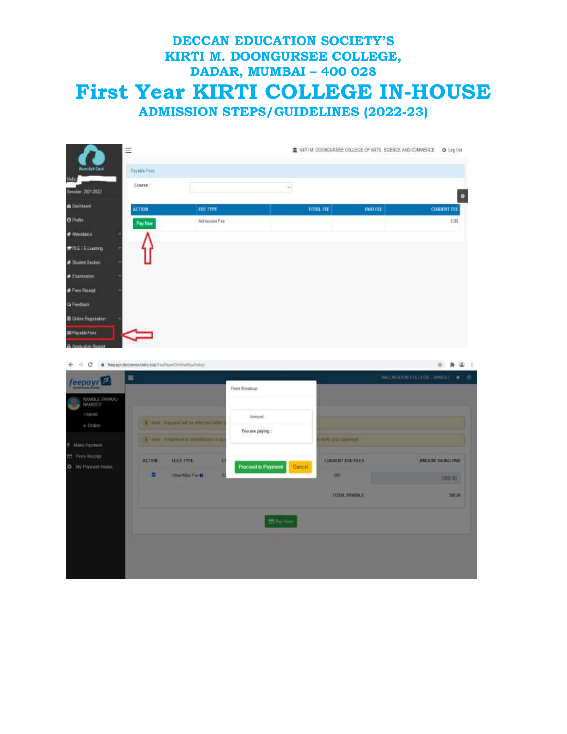



|                          | $\equiv$                                 |                              | $A = 0$<br>WE ENGINE COLLEGE BANKET |                    |  |
|--------------------------|------------------------------------------|------------------------------|-------------------------------------|--------------------|--|
| feepayr <sup>17</sup>    |                                          | Fees fireasup                |                                     |                    |  |
| KAMBLE EMARCAT<br>NAMERY |                                          |                              |                                     |                    |  |
| 709690                   |                                          | Amount                       |                                     |                    |  |
| a Colzie                 | 4. Now Partners will be independ without | You are paying:              |                                     |                    |  |
| Make Paymont<br>٠        | 4 have in Pagement to any reflected data |                              | <b>THE WAY AND ARRESTS</b>          |                    |  |
| EE Fres Receipt          | <b>ACTION</b><br><b>FLESTYPE</b><br>×    |                              | <b>CURRENT DUE FEES</b>             | AMOUNT EE ING PAID |  |
| O M Payment Status:      | ы<br><b>Other Mod Fare Of</b>            | Proceed to Payment<br>Cancel | 580                                 |                    |  |
|                          |                                          |                              |                                     | 300,00             |  |
|                          |                                          |                              | <b>TOTAL PAYABLE</b>                | 380.00             |  |
|                          |                                          |                              |                                     |                    |  |
|                          |                                          | El Ver Jimm                  |                                     |                    |  |
|                          |                                          |                              |                                     |                    |  |
|                          |                                          |                              |                                     |                    |  |
|                          |                                          |                              |                                     |                    |  |
|                          |                                          |                              |                                     |                    |  |

\* \* \* 1